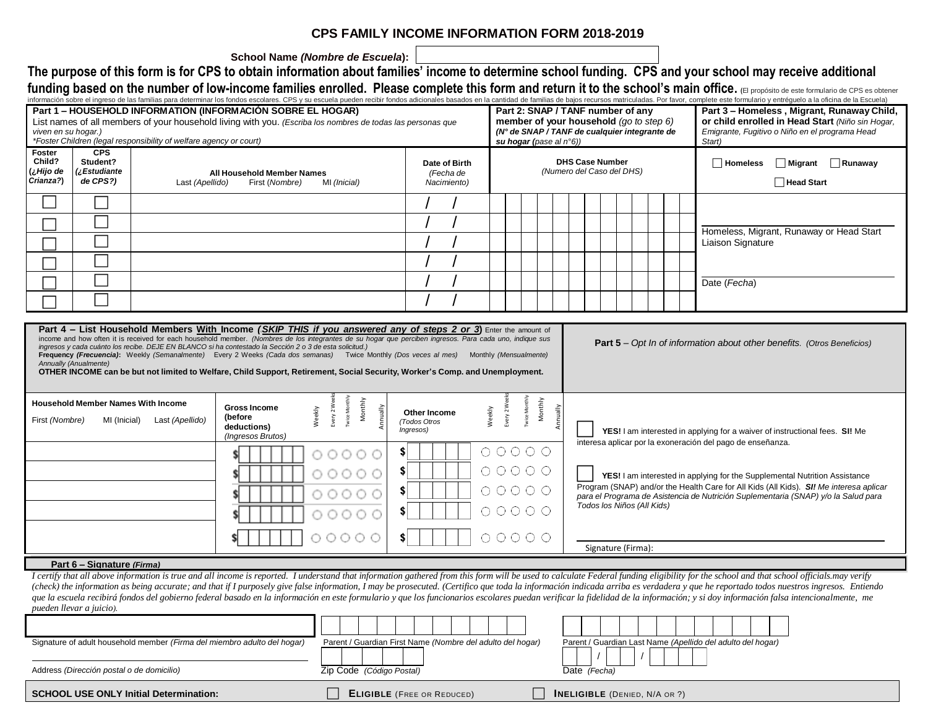## **CPS FAMILY INCOME INFORMATION FORM 2018-2019**

**School Name** *(Nombre de Escuela***):**

The purpose of this form is for CPS to obtain information about families' income to determine school funding. CPS and your school may receive additional funding based on the number of low-income families enrolled. Please complete this form and return it to the school's main office. (El propósito de este formulario de CPS es obtener

| Part 2: SNAP / TANF number of any<br>member of your household $(g \circ t \circ s \circ \phi)$<br>or child enrolled in Head Start (Niño sin Hogar,<br>List names of all members of your household living with you. (Escriba los nombres de todas las personas que<br>(N° de SNAP / TANF de cualquier integrante de<br>Emigrante, Fugitivo o Niño en el programa Head<br>viven en su hogar.)<br>*Foster Children (legal responsibility of welfare agency or court)<br>su hogar (pase al $n°6$ ))<br>Start)<br>CPS<br><b>Foster</b><br>Child?<br>Student?<br><b>DHS Case Number</b><br>$\Box$ Runaway<br>Date of Birth<br>Homeless<br>  Migrant<br>(¿Hijo de<br><i>z</i> Estudiante<br>(Numero del Caso del DHS)<br>All Household Member Names<br>(Fecha de<br>Crianza?)<br>de CPS?)<br><b>□ Head Start</b><br>Last (Apellido)<br>First (Nombre)<br>MI (Inicial)<br>Nacimiento)<br>Homeless, Migrant, Runaway or Head Start<br>Liaison Signature<br>Date (Fecha)<br>Part 4 - List Household Members With Income (SKIP THIS if you answered any of steps 2 or 3) Enter the amount of<br>income and how often it is received for each household member. (Nombres de los integrantes de su hogar que perciben ingresos. Para cada uno, indique sus<br><b>Part 5</b> – Opt In of information about other benefits. (Otros Beneficios)<br>ingresos y cada cuánto los recibe. DEJE EN BLANCO si ha contestado la Sección 2 o 3 de esta solicitud.)<br>Frequency (Frecuencia): Weekly (Semanalmente) Every 2 Weeks (Cada dos semanas) Twice Monthly (Dos veces al mes) Monthly (Mensualmente)<br>Annually (Anualmente)<br>OTHER INCOME can be but not limited to Welfare, Child Support, Retirement, Social Security, Worker's Comp. and Unemployment.<br>Twice Monthly<br>Every 2 Week<br>Monthly<br>Monthly<br><b>Household Member Names With Income</b><br>Every 2 Wer<br><b>Twice Mont</b><br><b>Gross Income</b><br>Weekly<br>Annually<br>Annually<br>Weekly<br>Other Income<br>(before<br>First (Nombre)<br>Last (Apellido)<br>MI (Inicial)<br>(Todos Otros<br>deductions)<br>Ingresos)<br>YES! I am interested in applying for a waiver of instructional fees. SI! Me<br>(Ingresos Brutos)<br>interesa aplicar por la exoneración del pago de enseñanza.<br>$\begin{array}{ccc}\n0 & 0 & 0 & 0 & 0\n\end{array}$<br>\$<br>00000<br>$\circ \circ \circ \circ \circ \circ$<br>00000<br>\$ <br>YES! I am interested in applying for the Supplemental Nutrition Assistance<br>Program (SNAP) and/or the Health Care for All Kids (All Kids). SI! Me interesa aplicar<br>$\circ \circ \circ \circ \circ \circ$<br>\$<br>00000<br>para el Programa de Asistencia de Nutrición Suplementaria (SNAP) y/o la Salud para<br>Todos los Niños (All Kids)<br>$\circ \circ \circ \circ \circ \circ$<br>00000<br>00000<br>$\circ \circ \circ \circ \circ \circ$<br>\$l<br>Signature (Firma):<br>Part 6 - Signature (Firma)<br>I certify that all above information is true and all income is reported. I understand that information gathered from this form will be used to calculate Federal funding eligibility for the school and that school officials<br>(check) the information as being accurate; and that if I purposely give false information, I may be prosecuted. (Certifico que toda la información indicada arriba es verdadera y que he reportado todos nuestros ingresos. En<br>que la escuela recibirá fondos del gobierno federal basado en la información en este formulario y que los funcionarios escolares puedan verificar la fidelidad de la información; y si doy información falsa intencionalmente,<br>pueden llevar a juicio).<br>Signature of adult household member (Firma del miembro adulto del hogar)<br>Parent / Guardian First Name (Nombre del adulto del hogar)<br>Parent / Guardian Last Name (Apellido del adulto del hogar)<br>Address (Dirección postal o de domicilio)<br>Zip Code (Código Postal)<br>Date (Fecha) |                                                             |  |  |  |  |  |  |  |  |  |  |  |  |  |  |  |                                            |  |  |  | información sobre el ingreso de las familias para determinar los fondos escolares. CPS y su escuela pueden recibir fondos adicionales basados en la cantidad de familias de bajos recursos matriculadas. Por favor, complete e |  |  |  |
|----------------------------------------------------------------------------------------------------------------------------------------------------------------------------------------------------------------------------------------------------------------------------------------------------------------------------------------------------------------------------------------------------------------------------------------------------------------------------------------------------------------------------------------------------------------------------------------------------------------------------------------------------------------------------------------------------------------------------------------------------------------------------------------------------------------------------------------------------------------------------------------------------------------------------------------------------------------------------------------------------------------------------------------------------------------------------------------------------------------------------------------------------------------------------------------------------------------------------------------------------------------------------------------------------------------------------------------------------------------------------------------------------------------------------------------------------------------------------------------------------------------------------------------------------------------------------------------------------------------------------------------------------------------------------------------------------------------------------------------------------------------------------------------------------------------------------------------------------------------------------------------------------------------------------------------------------------------------------------------------------------------------------------------------------------------------------------------------------------------------------------------------------------------------------------------------------------------------------------------------------------------------------------------------------------------------------------------------------------------------------------------------------------------------------------------------------------------------------------------------------------------------------------------------------------------------------------------------------------------------------------------------------------------------------------------------------------------------------------------------------------------------------------------------------------------------------------------------------------------------------------------------------------------------------------------------------------------------------------------------------------------------------------------------------------------------------------------------------------------------------------------------------------------------------------------------------------------------------------------------------------------------------------------------------------------------------------------------------------------------------------------------------------------------------------------------------------------------------------------------------------------------------------------------------------------------------------------------------------------------------------------------------------------------------------------------------------------------------------------------------------------------------------------------------------------------------------------------------------------------------------------------------------------------------------------------|-------------------------------------------------------------|--|--|--|--|--|--|--|--|--|--|--|--|--|--|--|--------------------------------------------|--|--|--|--------------------------------------------------------------------------------------------------------------------------------------------------------------------------------------------------------------------------------|--|--|--|
|                                                                                                                                                                                                                                                                                                                                                                                                                                                                                                                                                                                                                                                                                                                                                                                                                                                                                                                                                                                                                                                                                                                                                                                                                                                                                                                                                                                                                                                                                                                                                                                                                                                                                                                                                                                                                                                                                                                                                                                                                                                                                                                                                                                                                                                                                                                                                                                                                                                                                                                                                                                                                                                                                                                                                                                                                                                                                                                                                                                                                                                                                                                                                                                                                                                                                                                                                                                                                                                                                                                                                                                                                                                                                                                                                                                                                                                                                                                                              | Part 1 - HOUSEHOLD INFORMATION (INFORMACIÓN SOBRE EL HOGAR) |  |  |  |  |  |  |  |  |  |  |  |  |  |  |  | Part 3 - Homeless, Migrant, Runaway Child, |  |  |  |                                                                                                                                                                                                                                |  |  |  |
|                                                                                                                                                                                                                                                                                                                                                                                                                                                                                                                                                                                                                                                                                                                                                                                                                                                                                                                                                                                                                                                                                                                                                                                                                                                                                                                                                                                                                                                                                                                                                                                                                                                                                                                                                                                                                                                                                                                                                                                                                                                                                                                                                                                                                                                                                                                                                                                                                                                                                                                                                                                                                                                                                                                                                                                                                                                                                                                                                                                                                                                                                                                                                                                                                                                                                                                                                                                                                                                                                                                                                                                                                                                                                                                                                                                                                                                                                                                                              |                                                             |  |  |  |  |  |  |  |  |  |  |  |  |  |  |  |                                            |  |  |  |                                                                                                                                                                                                                                |  |  |  |
|                                                                                                                                                                                                                                                                                                                                                                                                                                                                                                                                                                                                                                                                                                                                                                                                                                                                                                                                                                                                                                                                                                                                                                                                                                                                                                                                                                                                                                                                                                                                                                                                                                                                                                                                                                                                                                                                                                                                                                                                                                                                                                                                                                                                                                                                                                                                                                                                                                                                                                                                                                                                                                                                                                                                                                                                                                                                                                                                                                                                                                                                                                                                                                                                                                                                                                                                                                                                                                                                                                                                                                                                                                                                                                                                                                                                                                                                                                                                              |                                                             |  |  |  |  |  |  |  |  |  |  |  |  |  |  |  |                                            |  |  |  |                                                                                                                                                                                                                                |  |  |  |
|                                                                                                                                                                                                                                                                                                                                                                                                                                                                                                                                                                                                                                                                                                                                                                                                                                                                                                                                                                                                                                                                                                                                                                                                                                                                                                                                                                                                                                                                                                                                                                                                                                                                                                                                                                                                                                                                                                                                                                                                                                                                                                                                                                                                                                                                                                                                                                                                                                                                                                                                                                                                                                                                                                                                                                                                                                                                                                                                                                                                                                                                                                                                                                                                                                                                                                                                                                                                                                                                                                                                                                                                                                                                                                                                                                                                                                                                                                                                              |                                                             |  |  |  |  |  |  |  |  |  |  |  |  |  |  |  |                                            |  |  |  |                                                                                                                                                                                                                                |  |  |  |
|                                                                                                                                                                                                                                                                                                                                                                                                                                                                                                                                                                                                                                                                                                                                                                                                                                                                                                                                                                                                                                                                                                                                                                                                                                                                                                                                                                                                                                                                                                                                                                                                                                                                                                                                                                                                                                                                                                                                                                                                                                                                                                                                                                                                                                                                                                                                                                                                                                                                                                                                                                                                                                                                                                                                                                                                                                                                                                                                                                                                                                                                                                                                                                                                                                                                                                                                                                                                                                                                                                                                                                                                                                                                                                                                                                                                                                                                                                                                              |                                                             |  |  |  |  |  |  |  |  |  |  |  |  |  |  |  |                                            |  |  |  |                                                                                                                                                                                                                                |  |  |  |
|                                                                                                                                                                                                                                                                                                                                                                                                                                                                                                                                                                                                                                                                                                                                                                                                                                                                                                                                                                                                                                                                                                                                                                                                                                                                                                                                                                                                                                                                                                                                                                                                                                                                                                                                                                                                                                                                                                                                                                                                                                                                                                                                                                                                                                                                                                                                                                                                                                                                                                                                                                                                                                                                                                                                                                                                                                                                                                                                                                                                                                                                                                                                                                                                                                                                                                                                                                                                                                                                                                                                                                                                                                                                                                                                                                                                                                                                                                                                              |                                                             |  |  |  |  |  |  |  |  |  |  |  |  |  |  |  |                                            |  |  |  |                                                                                                                                                                                                                                |  |  |  |
|                                                                                                                                                                                                                                                                                                                                                                                                                                                                                                                                                                                                                                                                                                                                                                                                                                                                                                                                                                                                                                                                                                                                                                                                                                                                                                                                                                                                                                                                                                                                                                                                                                                                                                                                                                                                                                                                                                                                                                                                                                                                                                                                                                                                                                                                                                                                                                                                                                                                                                                                                                                                                                                                                                                                                                                                                                                                                                                                                                                                                                                                                                                                                                                                                                                                                                                                                                                                                                                                                                                                                                                                                                                                                                                                                                                                                                                                                                                                              |                                                             |  |  |  |  |  |  |  |  |  |  |  |  |  |  |  |                                            |  |  |  |                                                                                                                                                                                                                                |  |  |  |
|                                                                                                                                                                                                                                                                                                                                                                                                                                                                                                                                                                                                                                                                                                                                                                                                                                                                                                                                                                                                                                                                                                                                                                                                                                                                                                                                                                                                                                                                                                                                                                                                                                                                                                                                                                                                                                                                                                                                                                                                                                                                                                                                                                                                                                                                                                                                                                                                                                                                                                                                                                                                                                                                                                                                                                                                                                                                                                                                                                                                                                                                                                                                                                                                                                                                                                                                                                                                                                                                                                                                                                                                                                                                                                                                                                                                                                                                                                                                              |                                                             |  |  |  |  |  |  |  |  |  |  |  |  |  |  |  |                                            |  |  |  |                                                                                                                                                                                                                                |  |  |  |
|                                                                                                                                                                                                                                                                                                                                                                                                                                                                                                                                                                                                                                                                                                                                                                                                                                                                                                                                                                                                                                                                                                                                                                                                                                                                                                                                                                                                                                                                                                                                                                                                                                                                                                                                                                                                                                                                                                                                                                                                                                                                                                                                                                                                                                                                                                                                                                                                                                                                                                                                                                                                                                                                                                                                                                                                                                                                                                                                                                                                                                                                                                                                                                                                                                                                                                                                                                                                                                                                                                                                                                                                                                                                                                                                                                                                                                                                                                                                              |                                                             |  |  |  |  |  |  |  |  |  |  |  |  |  |  |  |                                            |  |  |  |                                                                                                                                                                                                                                |  |  |  |
|                                                                                                                                                                                                                                                                                                                                                                                                                                                                                                                                                                                                                                                                                                                                                                                                                                                                                                                                                                                                                                                                                                                                                                                                                                                                                                                                                                                                                                                                                                                                                                                                                                                                                                                                                                                                                                                                                                                                                                                                                                                                                                                                                                                                                                                                                                                                                                                                                                                                                                                                                                                                                                                                                                                                                                                                                                                                                                                                                                                                                                                                                                                                                                                                                                                                                                                                                                                                                                                                                                                                                                                                                                                                                                                                                                                                                                                                                                                                              |                                                             |  |  |  |  |  |  |  |  |  |  |  |  |  |  |  |                                            |  |  |  |                                                                                                                                                                                                                                |  |  |  |
|                                                                                                                                                                                                                                                                                                                                                                                                                                                                                                                                                                                                                                                                                                                                                                                                                                                                                                                                                                                                                                                                                                                                                                                                                                                                                                                                                                                                                                                                                                                                                                                                                                                                                                                                                                                                                                                                                                                                                                                                                                                                                                                                                                                                                                                                                                                                                                                                                                                                                                                                                                                                                                                                                                                                                                                                                                                                                                                                                                                                                                                                                                                                                                                                                                                                                                                                                                                                                                                                                                                                                                                                                                                                                                                                                                                                                                                                                                                                              |                                                             |  |  |  |  |  |  |  |  |  |  |  |  |  |  |  |                                            |  |  |  |                                                                                                                                                                                                                                |  |  |  |
|                                                                                                                                                                                                                                                                                                                                                                                                                                                                                                                                                                                                                                                                                                                                                                                                                                                                                                                                                                                                                                                                                                                                                                                                                                                                                                                                                                                                                                                                                                                                                                                                                                                                                                                                                                                                                                                                                                                                                                                                                                                                                                                                                                                                                                                                                                                                                                                                                                                                                                                                                                                                                                                                                                                                                                                                                                                                                                                                                                                                                                                                                                                                                                                                                                                                                                                                                                                                                                                                                                                                                                                                                                                                                                                                                                                                                                                                                                                                              |                                                             |  |  |  |  |  |  |  |  |  |  |  |  |  |  |  |                                            |  |  |  |                                                                                                                                                                                                                                |  |  |  |
|                                                                                                                                                                                                                                                                                                                                                                                                                                                                                                                                                                                                                                                                                                                                                                                                                                                                                                                                                                                                                                                                                                                                                                                                                                                                                                                                                                                                                                                                                                                                                                                                                                                                                                                                                                                                                                                                                                                                                                                                                                                                                                                                                                                                                                                                                                                                                                                                                                                                                                                                                                                                                                                                                                                                                                                                                                                                                                                                                                                                                                                                                                                                                                                                                                                                                                                                                                                                                                                                                                                                                                                                                                                                                                                                                                                                                                                                                                                                              |                                                             |  |  |  |  |  |  |  |  |  |  |  |  |  |  |  |                                            |  |  |  |                                                                                                                                                                                                                                |  |  |  |
|                                                                                                                                                                                                                                                                                                                                                                                                                                                                                                                                                                                                                                                                                                                                                                                                                                                                                                                                                                                                                                                                                                                                                                                                                                                                                                                                                                                                                                                                                                                                                                                                                                                                                                                                                                                                                                                                                                                                                                                                                                                                                                                                                                                                                                                                                                                                                                                                                                                                                                                                                                                                                                                                                                                                                                                                                                                                                                                                                                                                                                                                                                                                                                                                                                                                                                                                                                                                                                                                                                                                                                                                                                                                                                                                                                                                                                                                                                                                              |                                                             |  |  |  |  |  |  |  |  |  |  |  |  |  |  |  |                                            |  |  |  |                                                                                                                                                                                                                                |  |  |  |
|                                                                                                                                                                                                                                                                                                                                                                                                                                                                                                                                                                                                                                                                                                                                                                                                                                                                                                                                                                                                                                                                                                                                                                                                                                                                                                                                                                                                                                                                                                                                                                                                                                                                                                                                                                                                                                                                                                                                                                                                                                                                                                                                                                                                                                                                                                                                                                                                                                                                                                                                                                                                                                                                                                                                                                                                                                                                                                                                                                                                                                                                                                                                                                                                                                                                                                                                                                                                                                                                                                                                                                                                                                                                                                                                                                                                                                                                                                                                              |                                                             |  |  |  |  |  |  |  |  |  |  |  |  |  |  |  |                                            |  |  |  |                                                                                                                                                                                                                                |  |  |  |
|                                                                                                                                                                                                                                                                                                                                                                                                                                                                                                                                                                                                                                                                                                                                                                                                                                                                                                                                                                                                                                                                                                                                                                                                                                                                                                                                                                                                                                                                                                                                                                                                                                                                                                                                                                                                                                                                                                                                                                                                                                                                                                                                                                                                                                                                                                                                                                                                                                                                                                                                                                                                                                                                                                                                                                                                                                                                                                                                                                                                                                                                                                                                                                                                                                                                                                                                                                                                                                                                                                                                                                                                                                                                                                                                                                                                                                                                                                                                              |                                                             |  |  |  |  |  |  |  |  |  |  |  |  |  |  |  |                                            |  |  |  |                                                                                                                                                                                                                                |  |  |  |
|                                                                                                                                                                                                                                                                                                                                                                                                                                                                                                                                                                                                                                                                                                                                                                                                                                                                                                                                                                                                                                                                                                                                                                                                                                                                                                                                                                                                                                                                                                                                                                                                                                                                                                                                                                                                                                                                                                                                                                                                                                                                                                                                                                                                                                                                                                                                                                                                                                                                                                                                                                                                                                                                                                                                                                                                                                                                                                                                                                                                                                                                                                                                                                                                                                                                                                                                                                                                                                                                                                                                                                                                                                                                                                                                                                                                                                                                                                                                              |                                                             |  |  |  |  |  |  |  |  |  |  |  |  |  |  |  |                                            |  |  |  |                                                                                                                                                                                                                                |  |  |  |
|                                                                                                                                                                                                                                                                                                                                                                                                                                                                                                                                                                                                                                                                                                                                                                                                                                                                                                                                                                                                                                                                                                                                                                                                                                                                                                                                                                                                                                                                                                                                                                                                                                                                                                                                                                                                                                                                                                                                                                                                                                                                                                                                                                                                                                                                                                                                                                                                                                                                                                                                                                                                                                                                                                                                                                                                                                                                                                                                                                                                                                                                                                                                                                                                                                                                                                                                                                                                                                                                                                                                                                                                                                                                                                                                                                                                                                                                                                                                              |                                                             |  |  |  |  |  |  |  |  |  |  |  |  |  |  |  |                                            |  |  |  |                                                                                                                                                                                                                                |  |  |  |
|                                                                                                                                                                                                                                                                                                                                                                                                                                                                                                                                                                                                                                                                                                                                                                                                                                                                                                                                                                                                                                                                                                                                                                                                                                                                                                                                                                                                                                                                                                                                                                                                                                                                                                                                                                                                                                                                                                                                                                                                                                                                                                                                                                                                                                                                                                                                                                                                                                                                                                                                                                                                                                                                                                                                                                                                                                                                                                                                                                                                                                                                                                                                                                                                                                                                                                                                                                                                                                                                                                                                                                                                                                                                                                                                                                                                                                                                                                                                              |                                                             |  |  |  |  |  |  |  |  |  |  |  |  |  |  |  |                                            |  |  |  |                                                                                                                                                                                                                                |  |  |  |
|                                                                                                                                                                                                                                                                                                                                                                                                                                                                                                                                                                                                                                                                                                                                                                                                                                                                                                                                                                                                                                                                                                                                                                                                                                                                                                                                                                                                                                                                                                                                                                                                                                                                                                                                                                                                                                                                                                                                                                                                                                                                                                                                                                                                                                                                                                                                                                                                                                                                                                                                                                                                                                                                                                                                                                                                                                                                                                                                                                                                                                                                                                                                                                                                                                                                                                                                                                                                                                                                                                                                                                                                                                                                                                                                                                                                                                                                                                                                              |                                                             |  |  |  |  |  |  |  |  |  |  |  |  |  |  |  |                                            |  |  |  |                                                                                                                                                                                                                                |  |  |  |
|                                                                                                                                                                                                                                                                                                                                                                                                                                                                                                                                                                                                                                                                                                                                                                                                                                                                                                                                                                                                                                                                                                                                                                                                                                                                                                                                                                                                                                                                                                                                                                                                                                                                                                                                                                                                                                                                                                                                                                                                                                                                                                                                                                                                                                                                                                                                                                                                                                                                                                                                                                                                                                                                                                                                                                                                                                                                                                                                                                                                                                                                                                                                                                                                                                                                                                                                                                                                                                                                                                                                                                                                                                                                                                                                                                                                                                                                                                                                              |                                                             |  |  |  |  |  |  |  |  |  |  |  |  |  |  |  |                                            |  |  |  |                                                                                                                                                                                                                                |  |  |  |

**SCHOOL USE ONLY Initial Determination: ELIGIBLE** (FREE OR <sup>R</sup>EDUCED) **INELIGIBLE** (DENIED, N/A OR ?)

| OR REDUCED) |  |  |
|-------------|--|--|
|-------------|--|--|